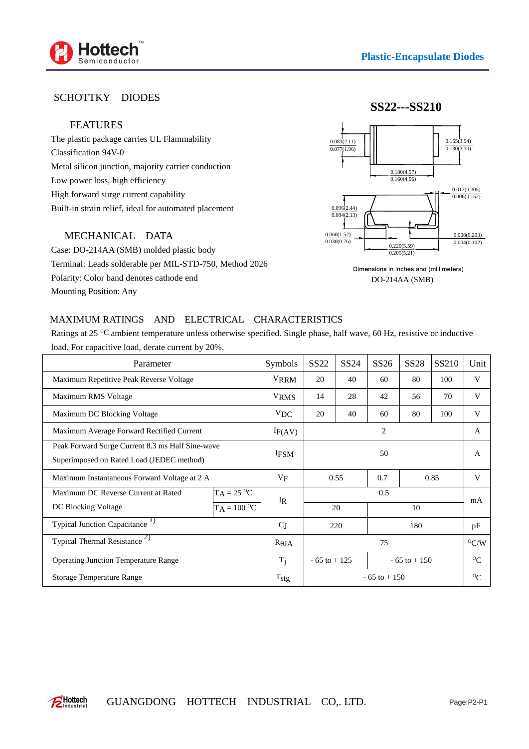

## SCHOTTKY DIODES

## FEATURES

The plastic package carries UL Flammability Classification 94V-0 Metal silicon junction, majority carrier conduction Low power loss, high efficiency High forward surge current capability Built-in strain relief, ideal for automated placement

## MECHANICAL DATA

Case: DO-214AA (SMB) molded plastic body Terminal: Leads solderable per MIL-STD-750, Method 2026 Polarity: Color band denotes cathode end Mounting Position: Any



Dimensions in inches and (millimeters) DO-214AA (SMB)

## MAXIMUM RATINGS AND ELECTRICAL CHARACTERISTICS

Ratings at 25 °C ambient temperature unless otherwise specified. Single phase, half wave, 60 Hz, resistive or inductive load. For capacitive load, derate current by 20%.

| Parameter                                                                                     | Symbols         | SS <sub>22</sub>                   | SS <sub>24</sub> | SS26 | <b>SS28</b>       | SS210 | Unit    |
|-----------------------------------------------------------------------------------------------|-----------------|------------------------------------|------------------|------|-------------------|-------|---------|
| Maximum Repetitive Peak Reverse Voltage                                                       | <b>VRRM</b>     | 20                                 | 40               | 60   | 80                | 100   | V       |
| Maximum RMS Voltage                                                                           | <b>VRMS</b>     | 14                                 | 28               | 42   | 56                | 70    | V       |
| Maximum DC Blocking Voltage                                                                   | V <sub>DC</sub> | 20                                 | 40               | 60   | 80                | 100   | V       |
| Maximum Average Forward Rectified Current                                                     | IF(AV)          | $\overline{2}$                     |                  |      |                   |       | A       |
| Peak Forward Surge Current 8.3 ms Half Sine-wave<br>Superimposed on Rated Load (JEDEC method) | <b>IFSM</b>     | 50                                 |                  |      |                   |       | A       |
| Maximum Instantaneous Forward Voltage at 2 A                                                  | VF              | 0.55                               |                  | 0.7  | 0.85              |       | V       |
| $TA = 25 \text{ °C}$<br>Maximum DC Reverse Current at Rated                                   |                 | 0.5<br>IR                          |                  |      |                   |       | mA      |
| $T_A = 100 \degree C$<br>DC Blocking Voltage                                                  |                 |                                    | 20<br>10         |      |                   |       |         |
| Typical Junction Capacitance <sup>1</sup> )                                                   | $C_J$           | 220                                |                  | 180  |                   | pF    |         |
| Typical Thermal Resistance <sup>2)</sup>                                                      | $R$ JA          | 75                                 |                  |      | $\mathrm{^O C/W}$ |       |         |
| <b>Operating Junction Temperature Range</b>                                                   | $T_i$           | $-65$ to $+125$<br>$-65$ to $+150$ |                  |      | $^{0}C$           |       |         |
| <b>Storage Temperature Range</b>                                                              | $T_{\rm{stg}}$  | $-65$ to $+150$                    |                  |      |                   |       | $^{0}C$ |